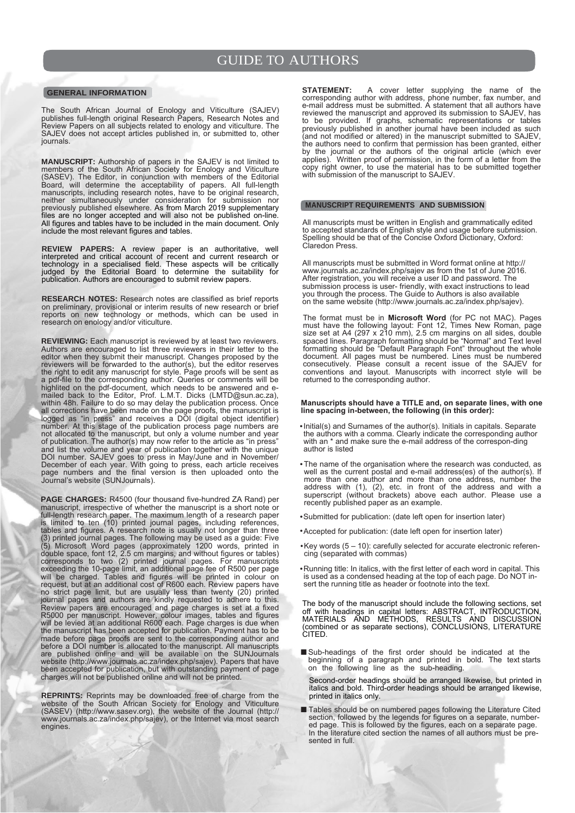# **GENERAL INFORMATION**

The South African Journal of Enology and Viticulture (SAJEV) publishes full-length original Research Papers, Research Notes and Review Papers on all subjects related to enology and viticulture. The SAJEV does not accept articles published in, or submitted to, other journals.

**MANUSCRIPT:** Authorship of papers in the SAJEV is not limited to members of the South African Society for Enology and Viticulture (SASEV). The Editor, in conjunction with members of the Editorial Board, will determine the acceptability of papers. All full-length manuscripts, including research notes, have to be original research, neither simultaneously under consideration for submission nor previously published elsewhere. As from March 2019 supplementary files are no longer accepted and will also not be published on-line. All figures and tables have to be included in the main document. Only include the most relevant figures and tables.

**REVIEW PAPERS:** A review paper is an authoritative, well interpreted and critical account of recent and current research or technology in a specialised field. These aspects will be critically judged by the Editorial Board to determine the suitability for publication. Authors are encouraged to submit review papers.

**RESEARCH NOTES:** Research notes are classified as brief reports on preliminary, provisional or interim results of new research or brief reports on new technology or methods, which can be used in research on enology and/or viticulture.

**REVIEWING:** Each manuscript is reviewed by at least two reviewers. Authors are encouraged to list three reviewers in their letter to the editor when they submit their manuscript. Changes proposed by the reviewers will be forwarded to the author(s), but the editor reserves the right to edit any manuscript for style. Page proofs will be sent as a pdf-file to the corresponding author. Queries or comments will be highlited on the pdf-document, which needs to be answered and emailed back to the Editor, Prof. L.M.T. Dicks (LMTD@sun.ac.za), within 48h. Failure to do so may delay the publication process. Once all corrections have been made on the page proofs, the manuscript is logged as "in press" and receives a DOI (digital object identifier) number. At this stage of the publication process page numbers are not allocated to the manuscript, but only a volume number and year of publication. The author(s) may now refer to the article as "in press" and list the volume and year of publication together with the unique DOI number. SAJEV goes to press in May/June and in November/ December of each year. With going to press, each article receives page numbers and the final version is then uploaded onto the Journal's website (SUNJournals).

**PAGE CHARGES:** R4500 (four thousand five-hundred ZA Rand) per manuscript, irrespective of whether the manuscript is a short note or full-length research paper. The maximum length of a research paper is limited to ten (10) printed journal pages, including references, tables and figures. A research note is usually not longer than three (3) printed journal pages. The following may be used as a guide: Five (5) Microsoft Word pages (approximately 1200 words, printed in double space, font 12, 2.5 cm margins, and without figures or tables) corresponds to two (2) printed journal pages. For manuscripts exceeding the 10-page limit, an additional page fee of R500 per page will be charged. Tables and figures will be printed in colour on request, but at an additional cost of R600 each. Review papers have no strict page limit, but are usually less than twenty (20) printed journal pages and authors are kindly requested to adhere to this. Review papers are encouraged and page charges is set at a fixed R5000 per manuscript. However, colour images, tables and figures will be levied at an additional R600 each. Page charges is due when the manuscript has been accepted for publication. Payment has to be made before page proofs are sent to the corresponding author and before a DOI number is allocated to the manuscript. All manuscripts are published online and will be available on the SUNJournals website (http://www.journals.ac.za/index.php/sajev). Papers that have been accepted for publication, but with outstanding payment of page charges will not be published online and will not be printed.

**REPRINTS:** Reprints may be downloaded fre[e of charge from the](http://mc.manuscriptcentral.com/sajev)  website of the South African Society for Enology and Viticulture [\(SASEV\) \(http://www.sasev.org\), the webs](http://mc.manuscriptcentral.com/sajev)ite of the Journal (http:// www.journals.ac.za/index.php/sajev), or the Internet via most search engines.

**STATEMENT:** A cover letter supplying the name of the corresponding author with address, phone number, fax number, and e-mail address must be submitted. A statement that all authors have reviewed the manuscript and approved its submission to SAJEV, has to be provided. If graphs, schematic representations or tables previously published in another journal have been included as such (and not modified or altered) in the manuscript submitted to SAJEV, the authors need to confirm that permission has been granted, either by the journal or the authors of the original article (which ever applies). Written proof of permission, in the form of a letter from the copy right owner, to use the material has to be submitted together with submission of the manuscript to SAJEV.

## **MANUSCRIPT REQUIREMENTS AND SUBMISSION**

All manuscripts must be written in English and grammatically edited to accepted standards of English style and usage before submission. Spelling should be that of the Concise Oxford Dictionary, Oxford: Claredon Press.

All manuscripts must be submitted in Word format online at http:// www.journals.ac.za/index.php/sajev as from the 1st of June 2016. After registration, you will receive a user ID and password. The submission process is user- friendly, with exact instructions to lead you through the process. The Guide to Authors is also available on the same website (http://www.journals.ac.za/index.php/sajev).

The format must be in **Microsoft Word** (for PC not MAC). Pages must have the following layout: Font 12, Times New Roman, page size set at A4 (297 x 210 mm), 2.5 cm margins on all sides, double spaced lines. Paragraph formatting should be "Normal" and Text level formatting should be "Default Paragraph Font" throughout the whole document. All pages must be numbered. Lines must be numbered consecutively. Please consult a recent issue of the SAJEV for conventions and layout. Manuscripts with incorrect style will be returned to the corresponding author.

#### **Manuscripts should have a TITLE and, on separate lines, with one line spacing in-between, the following (in this order):**

- •Initial(s) and Surnames of the author(s). Initials in capitals. Separate the authors with a comma. Clearly indicate the corresponding author with an \* and make sure the e-mail address of the correspon-ding author is listed
- The name of the organisation where the research was conducted, as well as the current postal and e-mail address(es) of the author(s). If more than one author and more than one address, number the address with (1), (2), etc. in front of the address and with a superscript (without brackets) above each author. Please use a recently published paper as an example.
- •Submitted for publication: (date left open for insertion later)
- •Accepted for publication: (date left open for insertion later)
- •Key words (5 10): carefully selected for accurate electronic referencing (separated with commas)
- •Running title: In italics, with the first letter of each word in capital. This is used as a condensed heading at the top of each page. Do NOT insert the running title as header or footnote into the text.

The body of the manuscript should include the following sections, set off with headings in capital letters: ABSTRACT, INTRODUCTION, MATERIALS AND METHODS, RESULTS AND DISCUSSION (combined or as separate sections), CONCLUSIONS, LITERATURE CITED.

■Sub-headings of the first order should be indicated at the beginning of a paragraph and printed in bold. The text starts on the following line as the sub-heading.

Second-order headings should be arranged likewise, but printed in italics and bold. Third-order headings should be arranged likewise, printed in italics only.

■ Tables should be on numbered pages following the Literature Cited section, followed by the legends for figures on a separate, numbered page. This is followed by the figures, each on a separate page. In the literature cited section the names of all authors must be presented in full.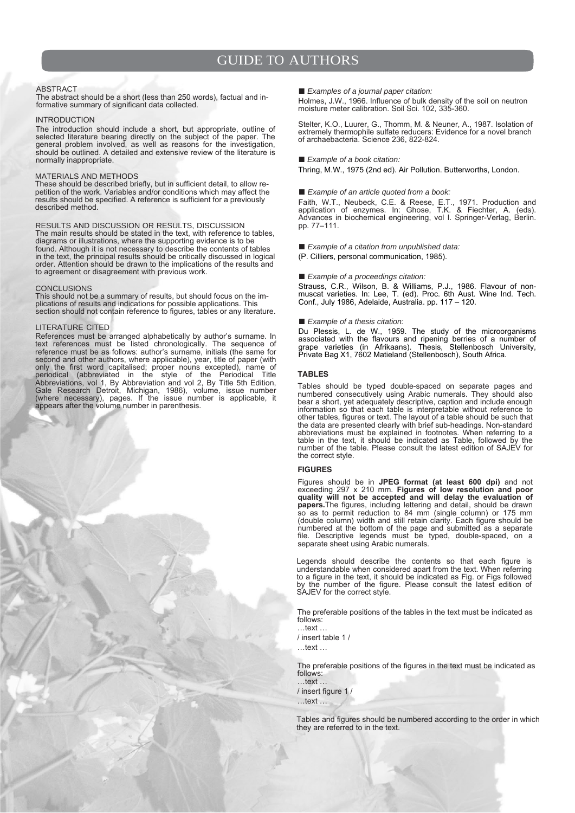### ABSTRACT

The abstract should be a short (less than 250 words), factual and informative summary of significant data collected.

### INTRODUCTION

The introduction should include a short, but appropriate, outline of selected literature bearing directly on the subject of the paper. The general problem involved, as well as reasons for the investigation, should be outlined. A detailed and extensive review of the literature is normally inappropriate.

## MATERIALS AND METHODS

These should be described briefly, but in sufficient detail, to allow repetition of the work. Variables and/or conditions which may affect the results should be specified. A reference is sufficient for a previously described method.

RESULTS AND DISCUSSION OR RESULTS, DISCUSSION The main results should be stated in the text, with reference to tables, diagrams or illustrations, where the supporting evidence is to be found. Although it is not necessary to describe the contents of tables in the text, the principal results should be critically discussed in logical order. Attention should be drawn to the implications of the results and to agreement or disagreement with previous work.

#### CONCLUSIONS

This should not be a summary of results, but should focus on the implications of results and indications for possible applications. This section should not contain reference to figures, tables or any literature.

### LITERATURE CITED

References must be arranged alphabetically by author's surname. In text references must be listed chronologically. The sequence of reference must be as follows: author's surname, initials (the same for second and other authors, where applicable), year, title of paper (with only the first word capitalised; proper nouns excepted), name of periodical (abbreviated in the style of the Periodical Title Abbreviations, vol 1, By Abbreviation and vol 2, By Title 5th Edition, Gale Research Detroit, Michigan, 1986), volume, issue number (where necessary), pages. If the issue number is applicable, it appears after the volume number in parenthesis.

■ *Examples of a journal paper citation:* 

Holmes, J.W., 1966. Influence of bulk density of the soil on neutron moisture meter calibration. Soil Sci. 102, 335-360.

Stelter, K.O., Luurer, G., Thomm, M. & Neuner, A., 1987. Isolation of extremely thermophile sulfate reducers: Evidence for a novel branch of archaebacteria. Science 236, 822-824.

#### ■ *Example of a book citation:*

Thring, M.W., 1975 (2nd ed). Air Pollution. Butterworths, London.

### ■ *Example of an article quoted from a book:*

Faith, W.T., Neubeck, C.E. & Reese, E.T., 1971. Production and application of enzymes. In: Ghose, T.K. & Fiechter, A. (eds). Advances in biochemical engineering, vol I. Springer-Verlag, Berlin. pp. 77–111.

■ *Example of a citation from unpublished data:* 

(P. Cilliers, personal communication, 1985).

### ■ *Example of a proceedings citation:*

Strauss, C.R., Wilson, B. & Williams, P.J., 1986. Flavour of nonmuscat varieties. In: Lee, T. (ed). Proc. 6th Aust. Wine Ind. Tech. Conf., July 1986, Adelaide, Australia. pp. 117 – 120.

### ■ *Example of a thesis citation:*

Du Plessis, L. de W., 1959. The study of the microorganisms associated with the flavours and ripening berries of a number of grape varieties (in Afrikaans). Thesis, Stellenbosch University, Private Bag X1, 7602 Matieland (Stellenbosch), South Africa.

### **tableS**

Tables should be typed double-spaced on separate pages and numbered consecutively using Arabic numerals. They should also bear a short, yet adequately descriptive, caption and include enough information so that each table is interpretable without reference to other tables, figures or text. The layout of a table should be such that the data are presented clearly with brief sub-headings. Non-standard abbreviations must be explained in footnotes. When referring to a table in the text, it should be indicated as Table, followed by the number of the table. Please consult the latest edition of SAJEV for the correct style.

#### **fiGUreS**

Figures should be in **JPEG format (at least 600 dpi)** and not exceeding 297 x 210 mm. **Figures of low resolution and poor quality will not be accepted and will delay the evaluation of papers.**The figures, including lettering and detail, should be drawn so as to permit reduction to 84 mm (single column) or 175 mm (double column) width and still retain clarity. Each figure should be numbered at the bottom of the page and submitted as a separate file. Descriptive legends must be typed, double-spaced, on a separate sheet using Arabic numerals.

Legends should describe the contents so that each figure is understandable when considered apart from the text. When referring to a figure in the text, it should be indicated as Fig. or Figs followed by the number of the figure. Please consult the latest edition of SAJEV for the correct style.

The preferable positions of the tables in the text must be indicated as follows:

…text … / insert table 1 /

…text …

The preferable positions of the figures in the text must be indicated as follows: …text …

/ insert figure 1 /

…text …

Tables and figures should be numbered according to the order in which they are referred to in the text.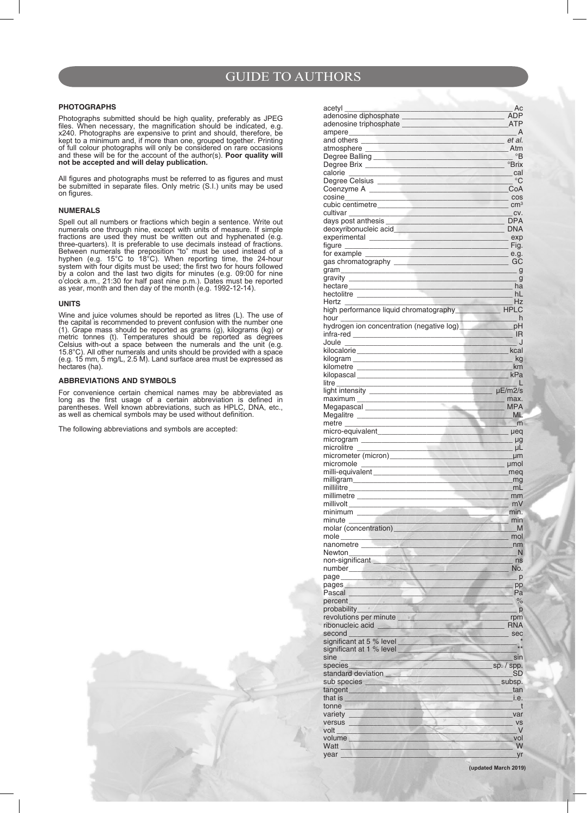## **PHOTOGRAPHS**

Photographs submitted should be high quality, preferably as JPEG files. When necessary, the magnification should be indicated, e.g. x240. Photographs are expensive to print and should, therefore, be kept to a minimum and, if more than one, grouped together. Printing of full colour photographs will only be considered on rare occasions and these will be for the account of the author(s). **Poor quality will not be accepted and will delay publication.**

All figures and photographs must be referred to as figures and must be submitted in separate files. Only metric (S.I.) units may be used on figures.

## **NUMERALS**

Spell out all numbers or fractions which begin a sentence. Write out numerals one through nine, except with units of measure. If simple fractions are used they must be written out and hyphenated (e.g. three-quarters). It is preferable to use decimals instead of fractions. Between numerals the preposition "to" must be used instead of a hyphen (e.g. 15°C to 18°C). When reporting time, the 24-hour system with four digits must be used; the first two for hours followed by a colon and the last two digits for minutes (e.g. 09:00 for nine o'clock a.m., 21:30 for half past nine p.m.). Dates must be reported as year, month and then day of the month (e.g. 1992-12-14).

### **UNITS**

Wine and juice volumes should be reported as litres (L). The use of the capital is recommended to prevent confusion with the number one (1). Grape mass should be reported as grams (g), kilograms (kg) or metric tonnes (t). Temperatures should be reported as degrees Celsius with-out a space between the numerals and the unit (e.g. 15.8°C). All other numerals and units should be provided with a space (e.g. 15 mm, 5 mg/L, 2.5 M). Land surface area must be expressed as hectares (ha).

## **ABBREVIATIONS AND SYMBOLS**

For convenience certain chemical names may be abbreviated as long as the first usage of a certain abbreviation is defined in parentheses. Well known abbreviations, such as HPLC, DNA, etc., as well as chemical symbols may be used without definition.

The following abbreviations and symbols are accepted:

| acetyl                                                                                                                                                                                                                                           | Ac                                 |
|--------------------------------------------------------------------------------------------------------------------------------------------------------------------------------------------------------------------------------------------------|------------------------------------|
|                                                                                                                                                                                                                                                  | ADP                                |
| adenosine triphosphate experience and annual series of the series of the series of the series of the series of                                                                                                                                   | ATP                                |
|                                                                                                                                                                                                                                                  | A                                  |
| and others and state of the state of the state of the state of the state of the state of the state of the state                                                                                                                                  | et al.                             |
| atmosphere and the contract of the contract of the contract of the contract of the contract of the contract of                                                                                                                                   | Atm                                |
| Degree Balling <b>Exercise Section 2006</b>                                                                                                                                                                                                      | $\circ$ B                          |
|                                                                                                                                                                                                                                                  | <sup>o</sup> Brix                  |
| calorie                                                                                                                                                                                                                                          | cal<br>் $\mathrm{C}$              |
| Degree Celsius _____________                                                                                                                                                                                                                     | CoA                                |
| cosine                                                                                                                                                                                                                                           | $\cos$                             |
| the control of the control of the<br>cubic centimetre and the cubic centimetre                                                                                                                                                                   | cm <sup>3</sup>                    |
| cultivar                                                                                                                                                                                                                                         | CV.                                |
| days post anthesis                                                                                                                                                                                                                               | <b>DPA</b>                         |
| deoxyribonucleic acid                                                                                                                                                                                                                            | <b>DNA</b>                         |
|                                                                                                                                                                                                                                                  | exp                                |
| figure ____                                                                                                                                                                                                                                      | Fig.                               |
| for example eq.                                                                                                                                                                                                                                  |                                    |
|                                                                                                                                                                                                                                                  | $_{\circ}$ GC                      |
| gram expression and the set of the set of the set of the set of the set of the set of the set of the set of the                                                                                                                                  | _ g                                |
|                                                                                                                                                                                                                                                  | g                                  |
|                                                                                                                                                                                                                                                  | ha                                 |
| hectolitre _______________                                                                                                                                                                                                                       | hL                                 |
| Hertz                                                                                                                                                                                                                                            | Hz                                 |
| high performance liquid chromatography                                                                                                                                                                                                           | <b>HPLC</b>                        |
| hour                                                                                                                                                                                                                                             | h h                                |
| hydrogen ion concentration (negative log)_                                                                                                                                                                                                       | pH                                 |
| infra-red ____________________                                                                                                                                                                                                                   | IR                                 |
| Joule                                                                                                                                                                                                                                            |                                    |
| kilocalorie _________________________                                                                                                                                                                                                            | kcal                               |
| kilogram ___________________________                                                                                                                                                                                                             | kg                                 |
| kilometre ______________________________                                                                                                                                                                                                         | km                                 |
| kilopascal _________________________                                                                                                                                                                                                             | kPa                                |
| litre<br><u> 1980 - Jan Barbarat, manala</u>                                                                                                                                                                                                     | <b>COLOR</b>                       |
| light intensity ____________________                                                                                                                                                                                                             | $\mu$ E/m2/s                       |
|                                                                                                                                                                                                                                                  | max.                               |
| Megapascal ____________________                                                                                                                                                                                                                  | MPA                                |
| Megalitre ______________________                                                                                                                                                                                                                 | ML                                 |
| metre<br><u> De Barbara (Barbara de Barbara)</u>                                                                                                                                                                                                 | m                                  |
| micro-equivalent____________________                                                                                                                                                                                                             | hed                                |
| microgram ______________________                                                                                                                                                                                                                 | _ µg                               |
| microlitre                                                                                                                                                                                                                                       | $\mu$ L                            |
| micrometer (micron) micrometer (micron)                                                                                                                                                                                                          |                                    |
|                                                                                                                                                                                                                                                  | .µm                                |
| micromole<br><b>Example 20</b> in the second contract of the property of the second contract of the second contract of the second contract of the second contract of the second contract of the second contract of the second contract of the se |                                    |
| milli-equivalent                                                                                                                                                                                                                                 | _meq                               |
|                                                                                                                                                                                                                                                  | _mg                                |
| millilitre                                                                                                                                                                                                                                       | mL                                 |
| millimetre                                                                                                                                                                                                                                       | mm                                 |
| millivolt                                                                                                                                                                                                                                        | mV                                 |
| minimum                                                                                                                                                                                                                                          | min.                               |
| minute                                                                                                                                                                                                                                           | min                                |
| molar (concentration)_                                                                                                                                                                                                                           | М                                  |
| mole                                                                                                                                                                                                                                             | mol                                |
| $\geq d$<br>nanometre                                                                                                                                                                                                                            | nm                                 |
| Newton                                                                                                                                                                                                                                           | N                                  |
| non-significant                                                                                                                                                                                                                                  | ns                                 |
| number_____________                                                                                                                                                                                                                              | No.                                |
| page_____<br><b>Barnett Market</b>                                                                                                                                                                                                               | . p                                |
| <b>pages <i>pages</i></b>                                                                                                                                                                                                                        | . pp                               |
| Pascal                                                                                                                                                                                                                                           | Pa                                 |
| percent                                                                                                                                                                                                                                          | $\%$                               |
|                                                                                                                                                                                                                                                  | p                                  |
| revolutions per minute                                                                                                                                                                                                                           | rpm                                |
| ribonucleic acid                                                                                                                                                                                                                                 | <b>RNA</b>                         |
| second                                                                                                                                                                                                                                           | sec                                |
| significant at 5 % level _                                                                                                                                                                                                                       | $**$                               |
| significant at 1 % level<br>sine                                                                                                                                                                                                                 | $\mathcal{H}_{\mathcal{M}}$<br>sin |
| WEST OF THE<br>species                                                                                                                                                                                                                           | $–$ sp. $/$ spp.                   |
| standard deviation                                                                                                                                                                                                                               | SD                                 |
| sub species <b>the contract of the contract of the contract of the contract of the contract of the contract of the contract of the contract of the contract of the contract of the contract of the contract of the contract of t</b>             | subsp.                             |
| tangent<br><u>Le partido de la p</u>                                                                                                                                                                                                             | tan                                |
|                                                                                                                                                                                                                                                  | i.e.                               |
| tonne                                                                                                                                                                                                                                            | $\overline{t}$                     |
| variety                                                                                                                                                                                                                                          | var                                |
| versus                                                                                                                                                                                                                                           | <b>VS</b>                          |
| volt                                                                                                                                                                                                                                             | V                                  |
| volume <b>contract the contract of the contract of the contract of the contract of the contract of the contract of the contract of the contract of the contract of the contract of the contract of the contract of the contract </b>             | vol                                |
| Watt<br>vear                                                                                                                                                                                                                                     | W<br>_yr                           |